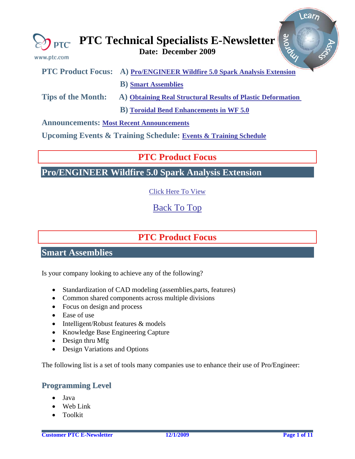<span id="page-0-0"></span>

| www.ptc.com | $\mathbb{Z}$ <sub>PTC</sub> PTC Technical Specialists E-Newsletter $\frac{8}{5}$<br>Date: December 2009 |
|-------------|---------------------------------------------------------------------------------------------------------|
|             | PTC Product Focus: A) Pro/ENGINEER Wildfire 5.0 Spark Analysis Extension                                |
|             | <b>B</b> ) Smart Assemblies                                                                             |

**Tips of the Month: A) [Obtaining Real Structural Results of Plastic Deformation](#page-2-0)** 

 **B) [Toroidal Bend Enhancements in WF 5.0](#page-2-0)** 

**Announcements: [Most Recent Announcements](#page-7-0)**

**Upcoming Events & Training Schedule: [Events & Training Schedule](#page-9-0)**

### **PTC Product Focus**

**Pro/ENGINEER Wildfire 5.0 Spark Analysis Extension** 

[Click Here To View](http://members.shaw.ca/jpeng/newsletter/PTC_Technical_Specialists_E-Newsletter_2009_12_desktop.pdf)

[Back To Top](#page-0-0)

## **PTC Product Focus**

### **Smart Assemblies**

Is your company looking to achieve any of the following?

- Standardization of CAD modeling (assemblies, parts, features)
- Common shared components across multiple divisions
- Focus on design and process
- Ease of use
- Intelligent/Robust features & models
- Knowledge Base Engineering Capture
- Design thru Mfg
- Design Variations and Options

The following list is a set of tools many companies use to enhance their use of Pro/Engineer:

### **Programming Level**

- Java
- Web Link
- Toolkit

l ear<sub>n</sub>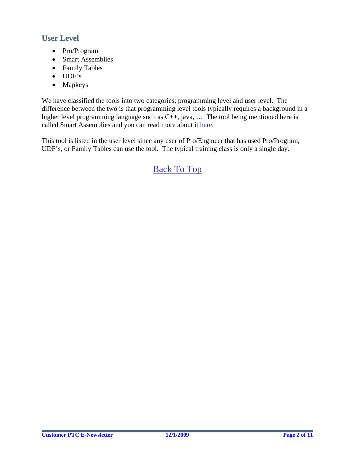### **User Level**

- Pro/Program
- Smart Assemblies
- Family Tables
- UDF's
- Mapkeys

We have classified the tools into two categories; programming level and user level. The difference between the two is that programming level tools typically requires a background in a higher level programming language such as C++, java, ... The tool being mentioned here is called Smart Assemblies and you can read more about it [here.](http://www.ptc.com/carezone/archive/newsletters/030108_d.pdf)

This tool is listed in the user level since any user of Pro/Engineer that has used Pro/Program, UDF's, or Family Tables can use the tool. The typical training class is only a single day.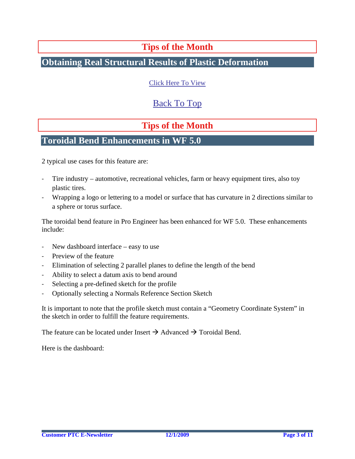### **Tips of the Month**

### <span id="page-2-0"></span>**Obtaining Real Structural Results of Plastic Deformation**

[Click Here To View](http://members.shaw.ca/jpeng/newsletter/PTC_Technical_Specialists_E-Newsletter_2009_12_desktop.pdf)

### [Back To Top](#page-0-0)

## **Tips of the Month**

### **Toroidal Bend Enhancements in WF 5.0**

2 typical use cases for this feature are:

- ‐ Tire industry automotive, recreational vehicles, farm or heavy equipment tires, also toy plastic tires.
- ‐ Wrapping a logo or lettering to a model or surface that has curvature in 2 directions similar to a sphere or torus surface.

The toroidal bend feature in Pro Engineer has been enhanced for WF 5.0. These enhancements include:

- New dashboard interface easy to use
- Preview of the feature
- ‐ Elimination of selecting 2 parallel planes to define the length of the bend
- ‐ Ability to select a datum axis to bend around
- ‐ Selecting a pre-defined sketch for the profile
- ‐ Optionally selecting a Normals Reference Section Sketch

It is important to note that the profile sketch must contain a "Geometry Coordinate System" in the sketch in order to fulfill the feature requirements.

The feature can be located under Insert  $\rightarrow$  Advanced  $\rightarrow$  Toroidal Bend.

Here is the dashboard: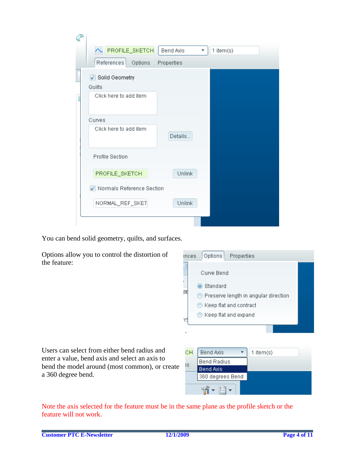| <b>XN PROFILE_SKETCH</b><br><b>Bend Axis</b><br>$1$ item $(s)$<br>▼ |  |  |  |  |
|---------------------------------------------------------------------|--|--|--|--|
| References<br>Options<br>Properties                                 |  |  |  |  |
| Solid Geometry<br>Quilts<br>Click here to add item                  |  |  |  |  |
|                                                                     |  |  |  |  |
| Curves                                                              |  |  |  |  |
| Click here to add item<br>Details                                   |  |  |  |  |
| <b>Profile Section</b>                                              |  |  |  |  |
| PROFILE_SKETCH<br>Unlink                                            |  |  |  |  |
| Normals Reference Section                                           |  |  |  |  |
| NORMAL_REF_SKET<br>Unlink                                           |  |  |  |  |
|                                                                     |  |  |  |  |

You can bend solid geometry, quilts, and surfaces.

Options allow you to control the distortion of the feature:



Users can select from either bend radius and enter a value, bend axis and select an axis to bend the model around (most common), or create a 360 degree bend.

| CН | Bend Axis        | 1 item $(s)$ |
|----|------------------|--------------|
| ١S | Bend Radius      |              |
|    | <b>Bend Axis</b> |              |
|    | 360 degrees Bend |              |
|    |                  |              |

Note the axis selected for the feature must be in the same plane as the profile sketch or the feature will not work.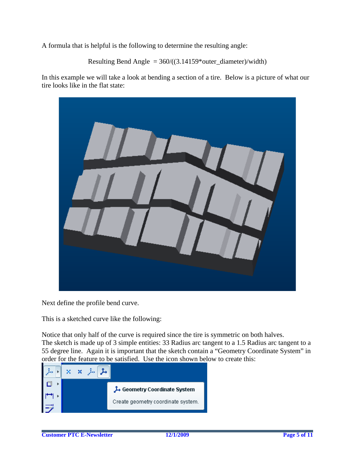A formula that is helpful is the following to determine the resulting angle:

```
Resulting Bend Angle = 360/((3.14159*)\text{ outer}_\text{diameter})/\text{width})
```
In this example we will take a look at bending a section of a tire. Below is a picture of what our tire looks like in the flat state:



Next define the profile bend curve.

This is a sketched curve like the following:

Notice that only half of the curve is required since the tire is symmetric on both halves. The sketch is made up of 3 simple entities: 33 Radius arc tangent to a 1.5 Radius arc tangent to a 55 degree line. Again it is important that the sketch contain a "Geometry Coordinate System" in order for the feature to be satisfied. Use the icon shown below to create this:

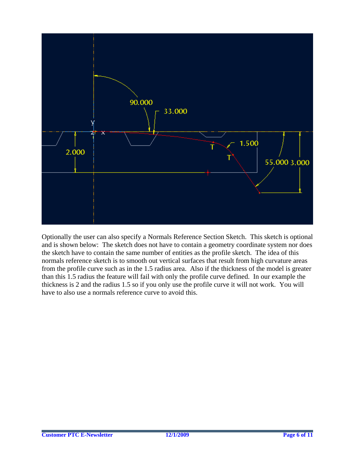

Optionally the user can also specify a Normals Reference Section Sketch. This sketch is optional and is shown below: The sketch does not have to contain a geometry coordinate system nor does the sketch have to contain the same number of entities as the profile sketch. The idea of this normals reference sketch is to smooth out vertical surfaces that result from high curvature areas from the profile curve such as in the 1.5 radius area. Also if the thickness of the model is greater than this 1.5 radius the feature will fail with only the profile curve defined. In our example the thickness is 2 and the radius 1.5 so if you only use the profile curve it will not work. You will have to also use a normals reference curve to avoid this.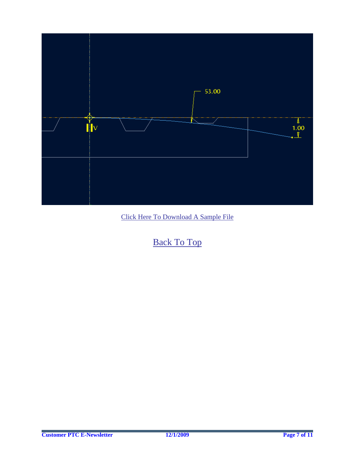

[Click Here To Download A Sample File](http://members.shaw.ca/jpeng/newsletter/toroidal_bend.prt.8)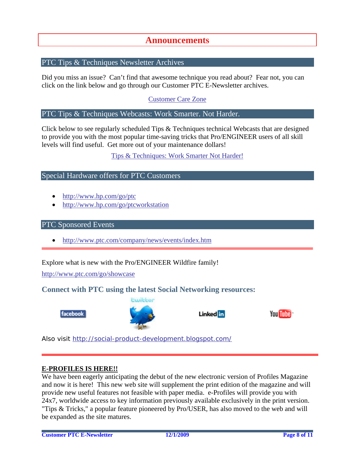### **Announcements**

#### <span id="page-7-0"></span>PTC Tips & Techniques Newsletter Archives

Did you miss an issue? Can't find that awesome technique you read about? Fear not, you can click on the link below and go through our Customer PTC E-Newsletter archives.

[Customer Care Zone](http://www.ptc.com/carezone/)

#### PTC Tips & Techniques Webcasts: Work Smarter. Not Harder.

Click below to see regularly scheduled Tips & Techniques technical Webcasts that are designed to provide you with the most popular time-saving tricks that Pro/ENGINEER users of all skill levels will find useful. Get more out of your maintenance dollars!

#### [Tips & Techniques: Work Smarter Not Harder!](http://www.ptc.com/appserver/it/icm/cda/template_lib/events/series.jsp?&im_dbkey=11442&icg_dbkey=141)

#### Special Hardware offers for PTC Customers

- <http://www.hp.com/go/ptc>
- <http://www.hp.com/go/ptcworkstation>

#### PTC Sponsored Events

• http://www.ptc.com/company/news/events/index.htm

Explore what is new with the Pro/ENGINEER Wildfire family!

<http://www.ptc.com/go/showcase>

#### **Connect with PTC using the latest Social Networking resources:**





#### Linked in



Also visit<http://social-product-development.blogspot.com/>

#### **E-PROFILES IS HERE!!**

We have been eagerly anticipating the debut of the new electronic version of Profiles Magazine and now it is here! This new web site will supplement the print edition of the magazine and will provide new useful features not feasible with paper media. e-Profiles will provide you with 24x7, worldwide access to key information previously available exclusively in the print version. "Tips & Tricks," a popular feature pioneered by Pro/USER, has also moved to the web and will be expanded as the site matures.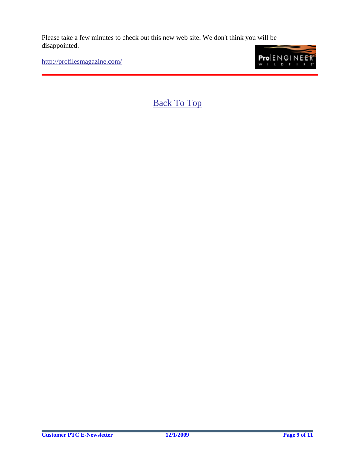Please take a few minutes to check out this new web site. We don't think you will be disappointed.

<http://profilesmagazine.com/>

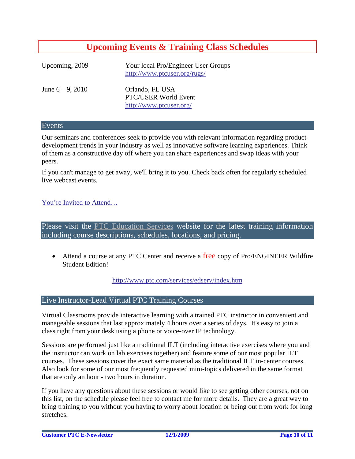## **Upcoming Events & Training Class Schedules**

<span id="page-9-0"></span>

| Upcoming, 2009      | Your local Pro/Engineer User Groups<br>http://www.ptcuser.org/rugs/ |
|---------------------|---------------------------------------------------------------------|
| June $6 - 9$ , 2010 | Orlando, FL USA<br>PTC/USER World Event<br>http://www.ptcuser.org/  |

#### Events

Our seminars and conferences seek to provide you with relevant information regarding product development trends in your industry as well as innovative software learning experiences. Think of them as a constructive day off where you can share experiences and swap ideas with your peers.

If you can't manage to get away, we'll bring it to you. Check back often for regularly scheduled live webcast events.

#### [You're Invited to Attend…](http://www.ptc.com/company/news/events/index.htm)

Please visit the [PTC Education Services](http://www.ptc.com/services/edserv/) website for the latest training information including course descriptions, schedules, locations, and pricing.

• Attend a course at any PTC Center and receive a free copy of Pro/ENGINEER Wildfire Student Edition!

<http://www.ptc.com/services/edserv/index.htm>

#### Live Instructor-Lead Virtual PTC Training Courses

Virtual Classrooms provide interactive learning with a trained PTC instructor in convenient and manageable sessions that last approximately 4 hours over a series of days. It's easy to join a class right from your desk using a phone or voice-over IP technology.

Sessions are performed just like a traditional ILT (including interactive exercises where you and the instructor can work on lab exercises together) and feature some of our most popular ILT courses. These sessions cover the exact same material as the traditional ILT in-center courses. Also look for some of our most frequently requested mini-topics delivered in the same format that are only an hour - two hours in duration.

If you have any questions about these sessions or would like to see getting other courses, not on this list, on the schedule please feel free to contact me for more details. They are a great way to bring training to you without you having to worry about location or being out from work for long stretches.